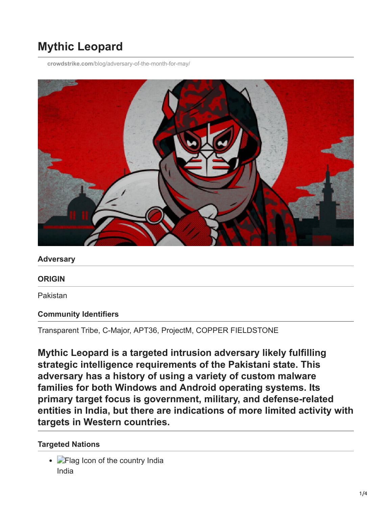# **Mythic Leopard**

**crowdstrike.com**[/blog/adversary-of-the-month-for-may/](https://www.crowdstrike.com/blog/adversary-of-the-month-for-may/)



#### **Adversary**

#### **ORIGIN**

Pakistan

#### **Community Identifiers**

Transparent Tribe, C-Major, APT36, ProjectM, COPPER FIELDSTONE

**Mythic Leopard is a targeted intrusion adversary likely fulfilling strategic intelligence requirements of the Pakistani state. This adversary has a history of using a variety of custom malware families for both Windows and Android operating systems. Its primary target focus is government, military, and defense-related entities in India, but there are indications of more limited activity with targets in Western countries.**

#### **Targeted Nations**

• Flag Icon of the country India India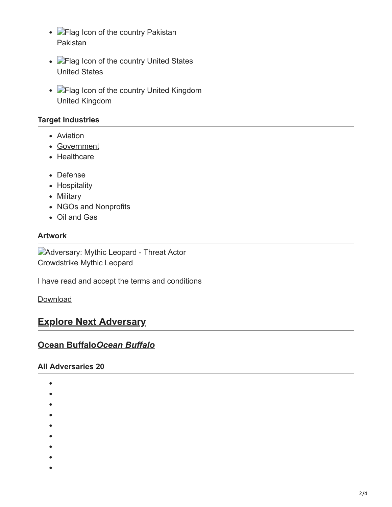- **Flag Icon of the country Pakistan** Pakistan
- **Flag Icon of the country United States** United States
- **Flag Icon of the country United Kingdom** United Kingdom

### **Target Industries**

- [Aviation](https://www.crowdstrike.com/en-US/industry/aviation/)
- [Government](https://www.crowdstrike.com/en-US/industry/government/)
- [Healthcare](https://www.crowdstrike.com/en-US/industry/healthcare/)
- Defense
- Hospitality
- Military
- NGOs and Nonprofits
- Oil and Gas

#### **Artwork**

Adversary: Mythic Leopard - Threat Actor Crowdstrike Mythic Leopard

I have read and accept the terms and conditions

[Download](https://www.crowdstrike.com/en-US/)

# **[Explore Next Adversary](https://www.crowdstrike.com/en-US/adversary/ocean-buffalo/)**

## **Ocean Buffalo***Ocean Buffalo*

#### **All Adversaries 20**

- $\bullet$
- 
- 
- 
- 
- 
- 
- 
- 
-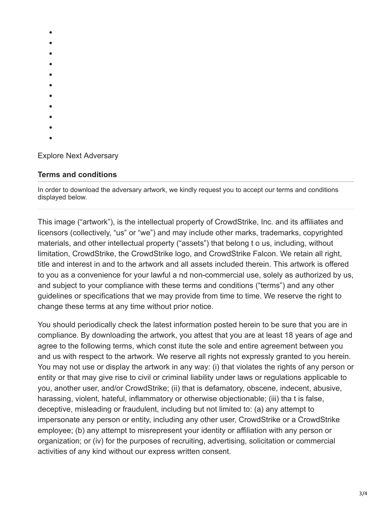- $\bullet$
- 
- 
- 
- 
- 
- 
- 
- 
- 
- 
- 

Explore Next Adversary

# **Terms and conditions**

In order to download the adversary artwork, we kindly request you to accept our terms and conditions displayed below.

This image ("artwork"), is the intellectual property of CrowdStrike, Inc. and its affiliates and licensors (collectively, "us" or "we") and may include other marks, trademarks, copyrighted materials, and other intellectual property ("assets") that belong t o us, including, without limitation, CrowdStrike, the CrowdStrike logo, and CrowdStrike Falcon. We retain all right, title and interest in and to the artwork and all assets included therein. This artwork is offered to you as a convenience for your lawful a nd non-commercial use, solely as authorized by us, and subject to your compliance with these terms and conditions ("terms") and any other guidelines or specifications that we may provide from time to time. We reserve the right to change these terms at any time without prior notice.

You should periodically check the latest information posted herein to be sure that you are in compliance. By downloading the artwork, you attest that you are at least 18 years of age and agree to the following terms, which const itute the sole and entire agreement between you and us with respect to the artwork. We reserve all rights not expressly granted to you herein. You may not use or display the artwork in any way: (i) that violates the rights of any person or entity or that may give rise to civil or criminal liability under laws or regulations applicable to you, another user, and/or CrowdStrike; (ii) that is defamatory, obscene, indecent, abusive, harassing, violent, hateful, inflammatory or otherwise objectionable; (iii) tha t is false, deceptive, misleading or fraudulent, including but not limited to: (a) any attempt to impersonate any person or entity, including any other user, CrowdStrike or a CrowdStrike employee; (b) any attempt to misrepresent your identity or affiliation with any person or organization; or (iv) for the purposes of recruiting, advertising, solicitation or commercial activities of any kind without our express written consent.